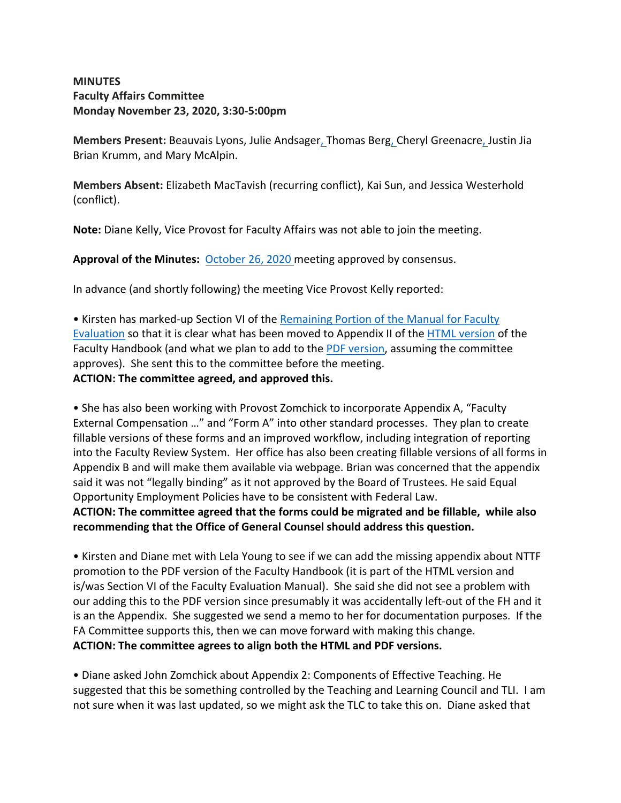### **MINUTES Faculty Affairs Committee Monday November 23, 2020, 3:30-5:00pm**

**Members Present:** Beauvais Lyons, Julie Andsager, Thomas Berg, Cheryl Greenacre, Justin Jia Brian Krumm, and Mary McAlpin.

**Members Absent:** Elizabeth MacTavish (recurring conflict), Kai Sun, and Jessica Westerhold (conflict).

**Note:** Diane Kelly, Vice Provost for Faculty Affairs was not able to join the meeting.

**Approval of the Minutes:** October 26, 2020 meeting approved by consensus.

In advance (and shortly following) the meeting Vice Provost Kelly reported:

• Kirsten has marked-up Section VI of the Remaining Portion of the Manual for Faculty Evaluation so that it is clear what has been moved to Appendix II of the HTML version of the Faculty Handbook (and what we plan to add to the PDF version, assuming the committee approves). She sent this to the committee before the meeting. **ACTION: The committee agreed, and approved this.** 

• She has also been working with Provost Zomchick to incorporate Appendix A, "Faculty External Compensation …" and "Form A" into other standard processes. They plan to create fillable versions of these forms and an improved workflow, including integration of reporting into the Faculty Review System. Her office has also been creating fillable versions of all forms in Appendix B and will make them available via webpage. Brian was concerned that the appendix said it was not "legally binding" as it not approved by the Board of Trustees. He said Equal Opportunity Employment Policies have to be consistent with Federal Law. **ACTION: The committee agreed that the forms could be migrated and be fillable, while also** 

**recommending that the Office of General Counsel should address this question.** 

• Kirsten and Diane met with Lela Young to see if we can add the missing appendix about NTTF promotion to the PDF version of the Faculty Handbook (it is part of the HTML version and is/was Section VI of the Faculty Evaluation Manual). She said she did not see a problem with our adding this to the PDF version since presumably it was accidentally left-out of the FH and it is an the Appendix. She suggested we send a memo to her for documentation purposes. If the FA Committee supports this, then we can move forward with making this change. **ACTION: The committee agrees to align both the HTML and PDF versions.** 

• Diane asked John Zomchick about Appendix 2: Components of Effective Teaching. He suggested that this be something controlled by the Teaching and Learning Council and TLI. I am not sure when it was last updated, so we might ask the TLC to take this on. Diane asked that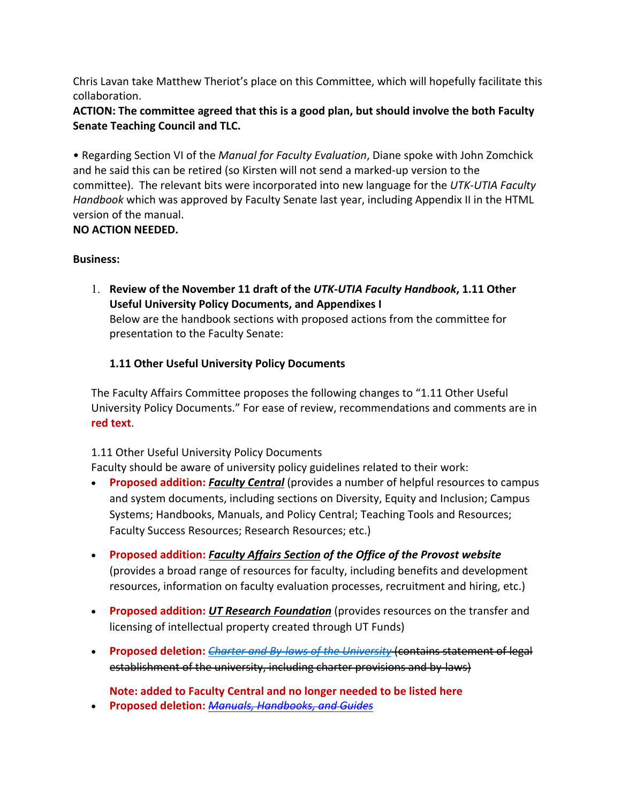Chris Lavan take Matthew Theriot's place on this Committee, which will hopefully facilitate this collaboration.

## **ACTION: The committee agreed that this is a good plan, but should involve the both Faculty Senate Teaching Council and TLC.**

• Regarding Section VI of the *Manual for Faculty Evaluation*, Diane spoke with John Zomchick and he said this can be retired (so Kirsten will not send a marked-up version to the committee). The relevant bits were incorporated into new language for the *UTK-UTIA Faculty Handbook* which was approved by Faculty Senate last year, including Appendix II in the HTML version of the manual.

## **NO ACTION NEEDED.**

## **Business:**

1. **Review of the November 11 draft of the** *UTK-UTIA Faculty Handbook***, 1.11 Other Useful University Policy Documents, and Appendixes I**  Below are the handbook sections with proposed actions from the committee for presentation to the Faculty Senate:

# **1.11 Other Useful University Policy Documents**

The Faculty Affairs Committee proposes the following changes to "1.11 Other Useful University Policy Documents." For ease of review, recommendations and comments are in **red text**.

## 1.11 Other Useful University Policy Documents

Faculty should be aware of university policy guidelines related to their work:

- **Proposed addition:** *Faculty Central* (provides a number of helpful resources to campus and system documents, including sections on Diversity, Equity and Inclusion; Campus Systems; Handbooks, Manuals, and Policy Central; Teaching Tools and Resources; Faculty Success Resources; Research Resources; etc.)
- **Proposed addition:** *Faculty Affairs Section of the Office of the Provost website* (provides a broad range of resources for faculty, including benefits and development resources, information on faculty evaluation processes, recruitment and hiring, etc.)
- **Proposed addition:** *UT Research Foundation* (provides resources on the transfer and licensing of intellectual property created through UT Funds)
- **Proposed deletion:** *Charter and By-laws of the University* (contains statement of legal establishment of the university, including charter provisions and by-laws)

**Note: added to Faculty Central and no longer needed to be listed here**

• **Proposed deletion:** *Manuals, Handbooks, and Guides*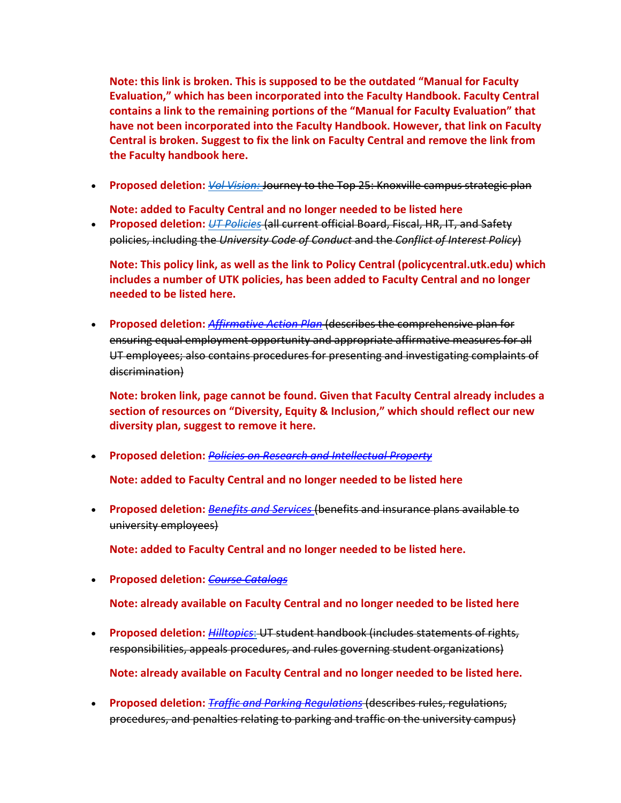**Note: this link is broken. This is supposed to be the outdated "Manual for Faculty Evaluation," which has been incorporated into the Faculty Handbook. Faculty Central contains a link to the remaining portions of the "Manual for Faculty Evaluation" that have not been incorporated into the Faculty Handbook. However, that link on Faculty Central is broken. Suggest to fix the link on Faculty Central and remove the link from the Faculty handbook here.**

• **Proposed deletion:** *Vol Vision:* Journey to the Top 25: Knoxville campus strategic plan

**Note: added to Faculty Central and no longer needed to be listed here**

• **Proposed deletion:** *UT Policies* (all current official Board, Fiscal, HR, IT, and Safety policies, including the *University Code of Conduct* and the *Conflict of Interest Policy*)

**Note: This policy link, as well as the link to Policy Central (policycentral.utk.edu) which includes a number of UTK policies, has been added to Faculty Central and no longer needed to be listed here.**

• **Proposed deletion:** *Affirmative Action Plan* (describes the comprehensive plan for ensuring equal employment opportunity and appropriate affirmative measures for all UT employees; also contains procedures for presenting and investigating complaints of discrimination)

**Note: broken link, page cannot be found. Given that Faculty Central already includes a section of resources on "Diversity, Equity & Inclusion," which should reflect our new diversity plan, suggest to remove it here.**

• **Proposed deletion:** *Policies on Research and Intellectual Property*

**Note: added to Faculty Central and no longer needed to be listed here**

• **Proposed deletion:** *Benefits and Services* (benefits and insurance plans available to university employees)

**Note: added to Faculty Central and no longer needed to be listed here.**

• **Proposed deletion:** *Course Catalogs*

**Note: already available on Faculty Central and no longer needed to be listed here**

- **Proposed deletion:** *Hilltopics*: UT student handbook (includes statements of rights, responsibilities, appeals procedures, and rules governing student organizations) **Note: already available on Faculty Central and no longer needed to be listed here.**
- **Proposed deletion:** *Traffic and Parking Regulations* (describes rules, regulations, procedures, and penalties relating to parking and traffic on the university campus)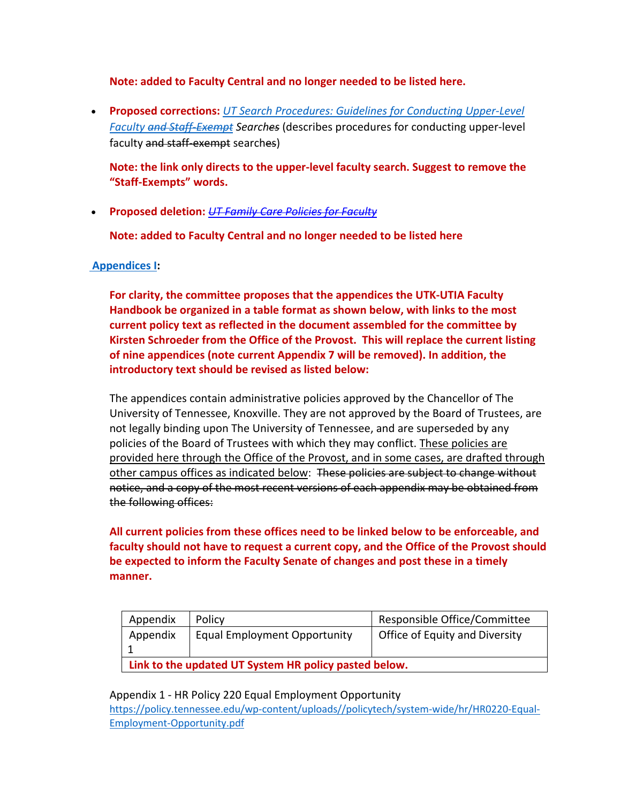**Note: added to Faculty Central and no longer needed to be listed here.**

• **Proposed corrections:** *UT Search Procedures: Guidelines for Conducting Upper-Level Faculty and Staff-Exempt Searches* (describes procedures for conducting upper-level faculty and staff-exempt searches)

**Note: the link only directs to the upper-level faculty search. Suggest to remove the "Staff-Exempts" words.**

• **Proposed deletion:** *UT Family Care Policies for Faculty*

**Note: added to Faculty Central and no longer needed to be listed here**

### **Appendices I:**

**For clarity, the committee proposes that the appendices the UTK-UTIA Faculty Handbook be organized in a table format as shown below, with links to the most current policy text as reflected in the document assembled for the committee by Kirsten Schroeder from the Office of the Provost. This will replace the current listing of nine appendices (note current Appendix 7 will be removed). In addition, the introductory text should be revised as listed below:**

The appendices contain administrative policies approved by the Chancellor of The University of Tennessee, Knoxville. They are not approved by the Board of Trustees, are not legally binding upon The University of Tennessee, and are superseded by any policies of the Board of Trustees with which they may conflict. These policies are provided here through the Office of the Provost, and in some cases, are drafted through other campus offices as indicated below: These policies are subject to change without notice, and a copy of the most recent versions of each appendix may be obtained from the following offices:

**All current policies from these offices need to be linked below to be enforceable, and faculty should not have to request a current copy, and the Office of the Provost should be expected to inform the Faculty Senate of changes and post these in a timely manner.**

| Appendix                                              | Policy                              | Responsible Office/Committee   |
|-------------------------------------------------------|-------------------------------------|--------------------------------|
| Appendix                                              | <b>Equal Employment Opportunity</b> | Office of Equity and Diversity |
|                                                       |                                     |                                |
| Link to the updated UT System HR policy pasted below. |                                     |                                |

Appendix 1 - HR Policy 220 Equal Employment Opportunity

https://policy.tennessee.edu/wp-content/uploads//policytech/system-wide/hr/HR0220-Equal-Employment-Opportunity.pdf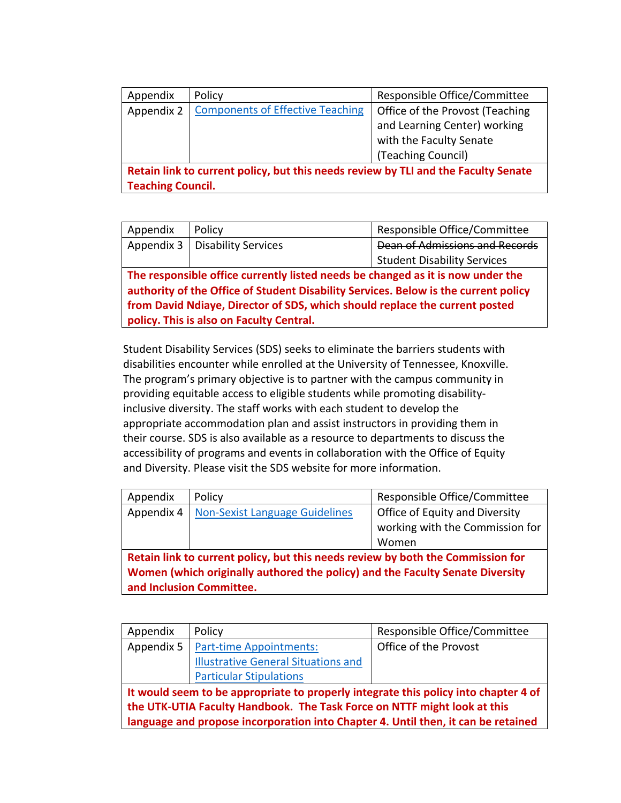| Appendix                                                                                                       | Policy                                  | Responsible Office/Committee    |
|----------------------------------------------------------------------------------------------------------------|-----------------------------------------|---------------------------------|
| Appendix 2                                                                                                     | <b>Components of Effective Teaching</b> | Office of the Provost (Teaching |
|                                                                                                                |                                         | and Learning Center) working    |
|                                                                                                                |                                         | with the Faculty Senate         |
|                                                                                                                |                                         | (Teaching Council)              |
| Retain link to current policy, but this needs review by TLI and the Faculty Senate<br><b>Teaching Council.</b> |                                         |                                 |

| Appendix                                                                            | Policy                     | Responsible Office/Committee          |
|-------------------------------------------------------------------------------------|----------------------------|---------------------------------------|
| Appendix 3                                                                          | <b>Disability Services</b> | <b>Dean of Admissions and Records</b> |
|                                                                                     |                            | <b>Student Disability Services</b>    |
| The responsible office currently listed needs be changed as it is now under the     |                            |                                       |
| authority of the Office of Student Disability Services. Below is the current policy |                            |                                       |
| from David Ndiaye, Director of SDS, which should replace the current posted         |                            |                                       |
| policy. This is also on Faculty Central.                                            |                            |                                       |

Student Disability Services (SDS) seeks to eliminate the barriers students with disabilities encounter while enrolled at the University of Tennessee, Knoxville. The program's primary objective is to partner with the campus community in providing equitable access to eligible students while promoting disabilityinclusive diversity. The staff works with each student to develop the appropriate accommodation plan and assist instructors in providing them in their course. SDS is also available as a resource to departments to discuss the accessibility of programs and events in collaboration with the Office of Equity and Diversity. Please visit the SDS website for more information.

| Appendix                                                                        | Policy                                | Responsible Office/Committee    |
|---------------------------------------------------------------------------------|---------------------------------------|---------------------------------|
| Appendix 4                                                                      | <b>Non-Sexist Language Guidelines</b> | Office of Equity and Diversity  |
|                                                                                 |                                       | working with the Commission for |
|                                                                                 |                                       | Women                           |
| Retain link to current policy, but this needs review by both the Commission for |                                       |                                 |
| Women (which originally authored the policy) and the Faculty Senate Diversity   |                                       |                                 |
| and Inclusion Committee.                                                        |                                       |                                 |

| Appendix                                                                                                                                                                                                                                             | Policy                                     | Responsible Office/Committee |
|------------------------------------------------------------------------------------------------------------------------------------------------------------------------------------------------------------------------------------------------------|--------------------------------------------|------------------------------|
| Appendix 5                                                                                                                                                                                                                                           | <b>Part-time Appointments:</b>             | Office of the Provost        |
|                                                                                                                                                                                                                                                      | <b>Illustrative General Situations and</b> |                              |
|                                                                                                                                                                                                                                                      | <b>Particular Stipulations</b>             |                              |
| It would seem to be appropriate to properly integrate this policy into chapter 4 of<br>the UTK-UTIA Faculty Handbook. The Task Force on NTTF might look at this<br>language and propose incorporation into Chapter 4. Until then, it can be retained |                                            |                              |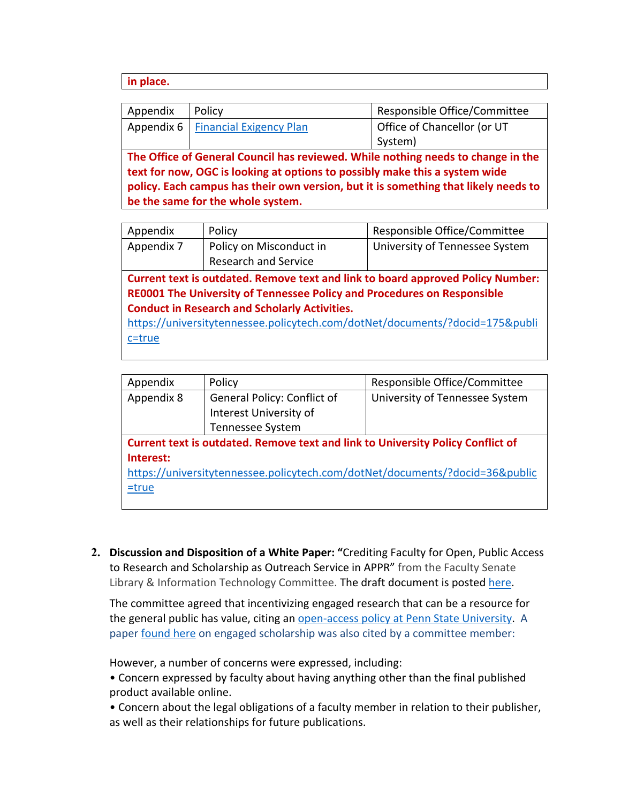#### **in place.**

| Appendix                                                                                            | Policy                               | Responsible Office/Committee |
|-----------------------------------------------------------------------------------------------------|--------------------------------------|------------------------------|
|                                                                                                     | Appendix 6   Financial Exigency Plan | Office of Chancellor (or UT  |
|                                                                                                     |                                      | System)                      |
| The Office of General Council has reviewed. While nothing needs to change in the                    |                                      |                              |
| an an finished an <b>AAA</b> to be able to a construction of a constant and the construction of the |                                      |                              |

**text for now, OGC is looking at options to possibly make this a system wide policy. Each campus has their own version, but it is something that likely needs to be the same for the whole system.**

| Appendix                                                                        | Policy                      | Responsible Office/Committee   |
|---------------------------------------------------------------------------------|-----------------------------|--------------------------------|
| Appendix 7                                                                      | Policy on Misconduct in     | University of Tennessee System |
|                                                                                 | <b>Research and Service</b> |                                |
| Current text is outdated. Remove text and link to board approved Policy Number: |                             |                                |
| RE0001 The University of Tennessee Policy and Procedures on Responsible         |                             |                                |
| <b>Conduct in Research and Scholarly Activities.</b>                            |                             |                                |
| https://universitytennessee.policytech.com/dotNet/documents/?docid=175&publi    |                             |                                |
| c=true                                                                          |                             |                                |
|                                                                                 |                             |                                |

| Appendix                                                                        | Policy                      | Responsible Office/Committee   |  |
|---------------------------------------------------------------------------------|-----------------------------|--------------------------------|--|
| Appendix 8                                                                      | General Policy: Conflict of | University of Tennessee System |  |
|                                                                                 | Interest University of      |                                |  |
|                                                                                 | Tennessee System            |                                |  |
| Current text is outdated. Remove text and link to University Policy Conflict of |                             |                                |  |
| Interest:                                                                       |                             |                                |  |
| https://universitytennessee.policytech.com/dotNet/documents/?docid=36&public    |                             |                                |  |
| $=$ true                                                                        |                             |                                |  |
|                                                                                 |                             |                                |  |

**2. Discussion and Disposition of a White Paper: "**Crediting Faculty for Open, Public Access to Research and Scholarship as Outreach Service in APPR" from the Faculty Senate Library & Information Technology Committee. The draft document is posted here.

The committee agreed that incentivizing engaged research that can be a resource for the general public has value, citing an open-access policy at Penn State University. A paper found here on engaged scholarship was also cited by a committee member:

However, a number of concerns were expressed, including:

• Concern expressed by faculty about having anything other than the final published product available online.

• Concern about the legal obligations of a faculty member in relation to their publisher, as well as their relationships for future publications.